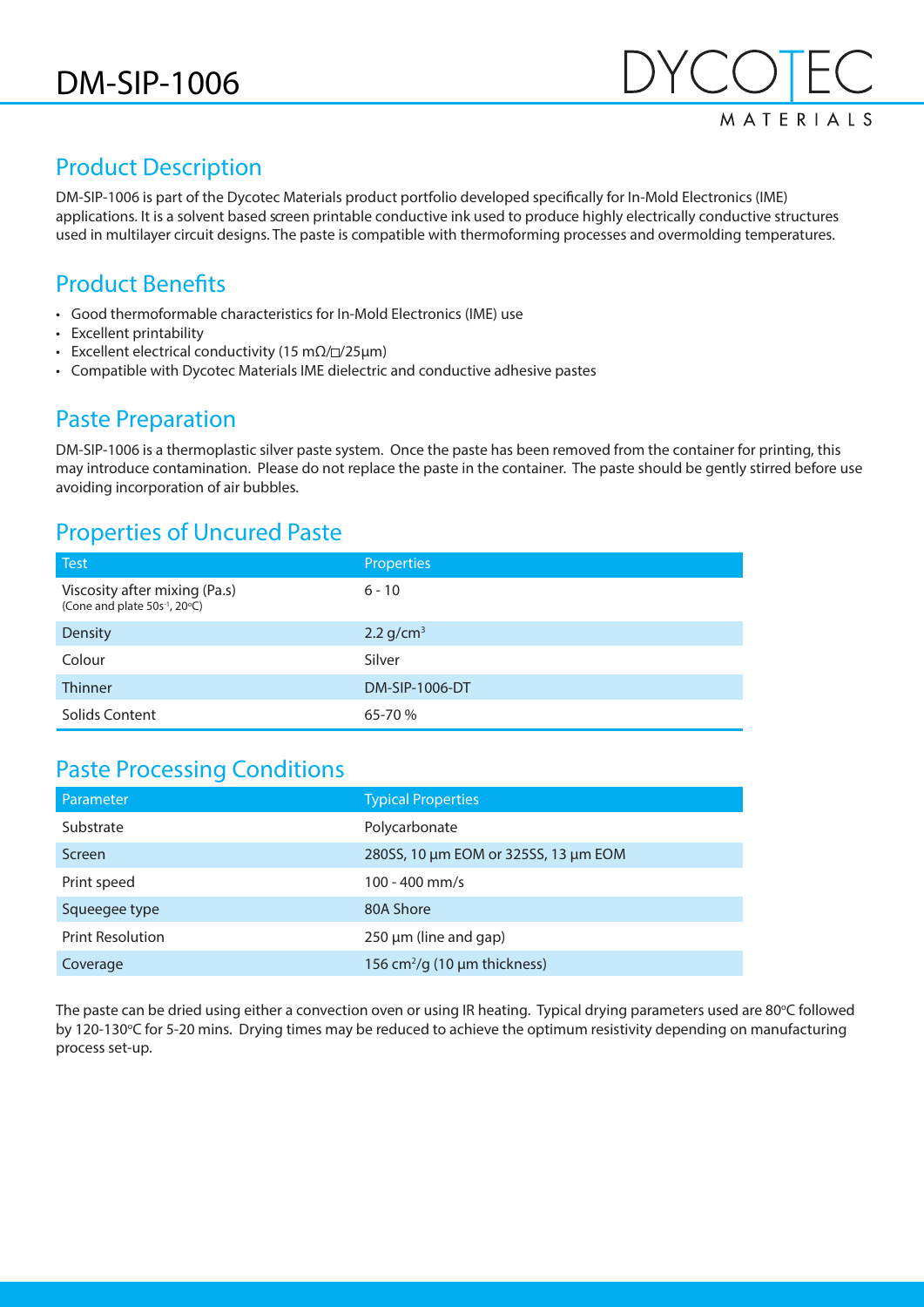

### Product Description

DM-SIP-1006 is part of the Dycotec Materials product portfolio developed specifically for In-Mold Electronics (IME) applications. It is a solvent based screen printable conductive ink used to produce highly electrically conductive structures used in multilayer circuit designs. The paste is compatible with thermoforming processes and overmolding temperatures.

# Product Benefits

- Good thermoformable characteristics for In-Mold Electronics (IME) use
- Excellent printability
- Excellent electrical conductivity (15 m $\Omega$ / $\square$ /25 µm)
- Compatible with Dycotec Materials IME dielectric and conductive adhesive pastes

#### Paste Preparation

DM-SIP-1006 is a thermoplastic silver paste system. Once the paste has been removed from the container for printing, this may introduce contamination. Please do not replace the paste in the container. The paste should be gently stirred before use avoiding incorporation of air bubbles.

### Properties of Uncured Paste

| <b>Test</b>                                                                | <b>Properties</b>     |
|----------------------------------------------------------------------------|-----------------------|
| Viscosity after mixing (Pa.s)<br>(Cone and plate 50s <sup>-1</sup> , 20°C) | $6 - 10$              |
| Density                                                                    | 2.2 $g/cm^3$          |
| Colour                                                                     | Silver                |
| <b>Thinner</b>                                                             | <b>DM-SIP-1006-DT</b> |
| Solids Content                                                             | 65-70 %               |

### Paste Processing Conditions

| <b>Parameter</b>        | <b>Typical Properties</b>                     |
|-------------------------|-----------------------------------------------|
| Substrate               | Polycarbonate                                 |
| Screen                  | 280SS, 10 µm EOM or 325SS, 13 µm EOM          |
| Print speed             | $100 - 400$ mm/s                              |
| Squeegee type           | 80A Shore                                     |
| <b>Print Resolution</b> | $250 \mu m$ (line and gap)                    |
| Coverage                | 156 cm <sup>2</sup> /g (10 $\mu$ m thickness) |

The paste can be dried using either a convection oven or using IR heating. Typical drying parameters used are 80°C followed by 120-130°C for 5-20 mins. Drying times may be reduced to achieve the optimum resistivity depending on manufacturing process set-up.